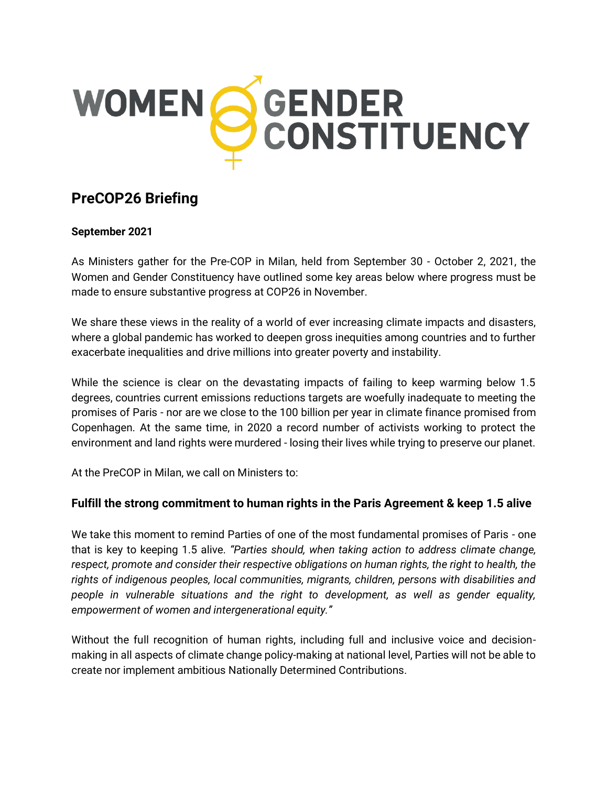

# **PreCOP26 Briefing**

#### **September 2021**

As Ministers gather for the Pre-COP in Milan, held from September 30 - October 2, 2021, the Women and Gender Constituency have outlined some key areas below where progress must be made to ensure substantive progress at COP26 in November.

We share these views in the reality of a world of ever increasing climate impacts and disasters, where a global pandemic has worked to deepen gross inequities among countries and to further exacerbate inequalities and drive millions into greater poverty and instability.

While the science is clear on the devastating impacts of failing to keep warming below 1.5 degrees, countries current emissions reductions targets are woefully inadequate to meeting the promises of Paris - nor are we close to the 100 billion per year in climate finance promised from Copenhagen. At the same time, in 2020 a record number of activists working to protect the environment and land rights were murdered - losing their lives while trying to preserve our planet.

At the PreCOP in Milan, we call on Ministers to:

### **Fulfill the strong commitment to human rights in the Paris Agreement & keep 1.5 alive**

We take this moment to remind Parties of one of the most fundamental promises of Paris - one that is key to keeping 1.5 alive. *"Parties should, when taking action to address climate change, respect, promote and consider their respective obligations on human rights, the right to health, the rights of indigenous peoples, local communities, migrants, children, persons with disabilities and people in vulnerable situations and the right to development, as well as gender equality, empowerment of women and intergenerational equity."*

Without the full recognition of human rights, including full and inclusive voice and decisionmaking in all aspects of climate change policy-making at national level, Parties will not be able to create nor implement ambitious Nationally Determined Contributions.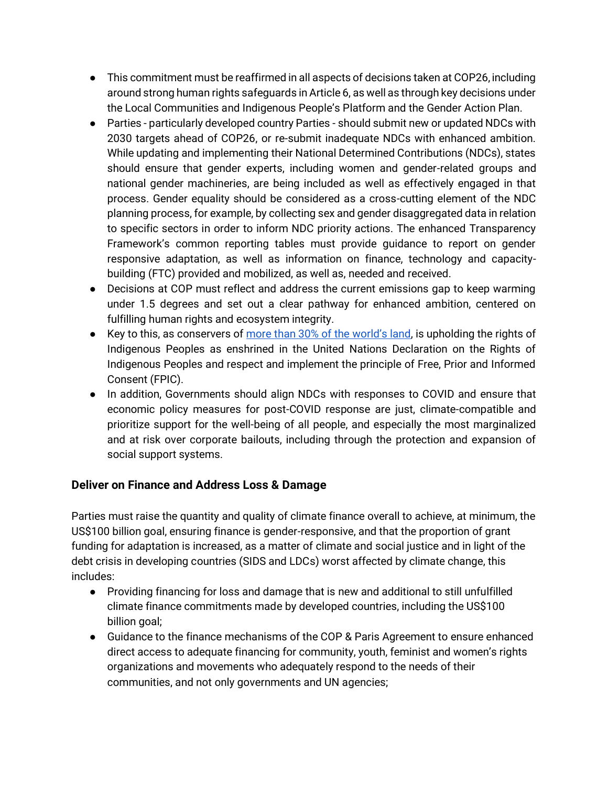- This commitment must be reaffirmed in all aspects of decisions taken at COP26, including around strong human rights safeguards in Article 6, as well as through key decisions under the Local Communities and Indigenous People's Platform and the Gender Action Plan.
- Parties particularly developed country Parties should submit new or updated NDCs with 2030 targets ahead of COP26, or re-submit inadequate NDCs with enhanced ambition. While updating and implementing their National Determined Contributions (NDCs), states should ensure that gender experts, including women and gender-related groups and national gender machineries, are being included as well as effectively engaged in that process. Gender equality should be considered as a cross-cutting element of the NDC planning process, for example, by collecting sex and gender disaggregated data in relation to specific sectors in order to inform NDC priority actions. The enhanced Transparency Framework's common reporting tables must provide guidance to report on gender responsive adaptation, as well as information on finance, technology and capacitybuilding (FTC) provided and mobilized, as well as, needed and received.
- Decisions at COP must reflect and address the current emissions gap to keep warming under 1.5 degrees and set out a clear pathway for enhanced ambition, centered on fulfilling human rights and ecosystem integrity.
- **•** Key to this, as conservers of more than  $30\%$  of the world's land, is upholding the rights of Indigenous Peoples as enshrined in the United Nations Declaration on the Rights of Indigenous Peoples and respect and implement the principle of Free, Prior and Informed Consent (FPIC).
- In addition, Governments should align NDCs with responses to COVID and ensure that economic policy measures for post-COVID response are just, climate-compatible and prioritize support for the well-being of all people, and especially the most marginalized and at risk over corporate bailouts, including through the protection and expansion of social support systems.

## **Deliver on Finance and Address Loss & Damage**

Parties must raise the quantity and quality of climate finance overall to achieve, at minimum, the US\$100 billion goal, ensuring finance is gender-responsive, and that the proportion of grant funding for adaptation is increased, as a matter of climate and social justice and in light of the debt crisis in developing countries (SIDS and LDCs) worst affected by climate change, this includes:

- Providing financing for loss and damage that is new and additional to still unfulfilled climate finance commitments made by developed countries, including the US\$100 billion goal;
- Guidance to the finance mechanisms of the COP & Paris Agreement to ensure enhanced direct access to adequate financing for community, youth, feminist and women's rights organizations and movements who adequately respond to the needs of their communities, and not only governments and UN agencies;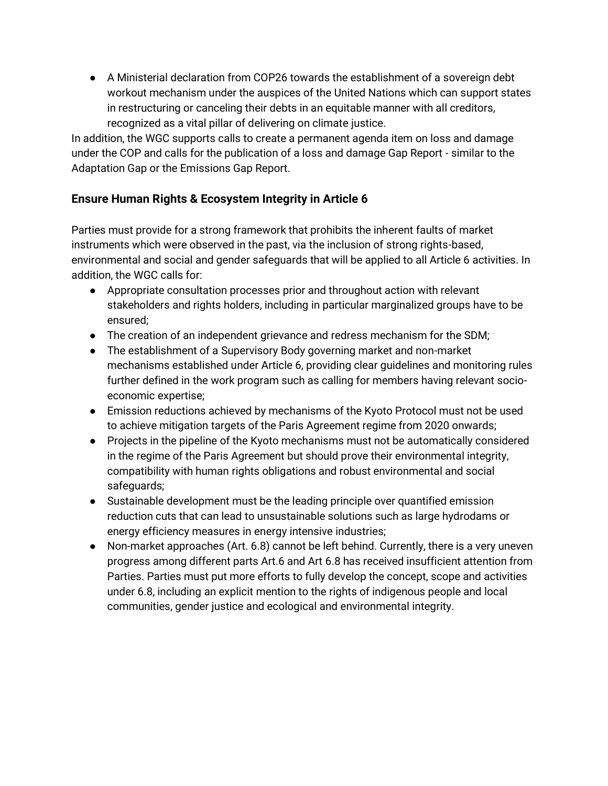● A Ministerial declaration from COP26 towards the establishment of a sovereign debt workout mechanism under the auspices of the United Nations which can support states in restructuring or canceling their debts in an equitable manner with all creditors, recognized as a vital pillar of delivering on climate justice.

In addition, the WGC supports calls to create a permanent agenda item on loss and damage under the COP and calls for the publication of a loss and damage Gap Report - similar to the Adaptation Gap or the Emissions Gap Report.

# **Ensure Human Rights & Ecosystem Integrity in Article 6**

Parties must provide for a strong framework that prohibits the inherent faults of market instruments which were observed in the past, via the inclusion of strong rights-based, environmental and social and gender safeguards that will be applied to all Article 6 activities. In addition, the WGC calls for:

- Appropriate consultation processes prior and throughout action with relevant stakeholders and rights holders, including in particular marginalized groups have to be ensured;
- The creation of an independent grievance and redress mechanism for the SDM;
- The establishment of a Supervisory Body governing market and non-market mechanisms established under Article 6, providing clear guidelines and monitoring rules further defined in the work program such as calling for members having relevant socioeconomic expertise;
- Emission reductions achieved by mechanisms of the Kyoto Protocol must not be used to achieve mitigation targets of the Paris Agreement regime from 2020 onwards;
- Projects in the pipeline of the Kyoto mechanisms must not be automatically considered in the regime of the Paris Agreement but should prove their environmental integrity, compatibility with human rights obligations and robust environmental and social safeguards;
- Sustainable development must be the leading principle over quantified emission reduction cuts that can lead to unsustainable solutions such as large hydrodams or energy efficiency measures in energy intensive industries;
- Non-market approaches (Art. 6.8) cannot be left behind. Currently, there is a very uneven progress among different parts Art.6 and Art 6.8 has received insufficient attention from Parties. Parties must put more efforts to fully develop the concept, scope and activities under 6.8, including an explicit mention to the rights of indigenous people and local communities, gender justice and ecological and environmental integrity.